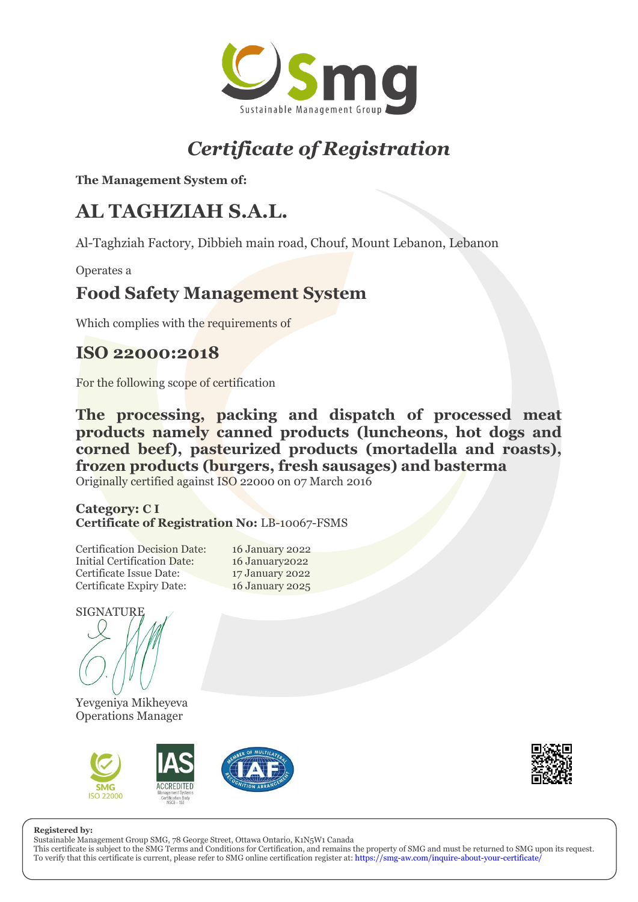

# *Certificate of Registration*

**The Management System of:**

## **AL TAGHZIAH S.A.L.**

Al-Taghziah Factory, Dibbieh main road, Chouf, Mount Lebanon, Lebanon

Operates a

### **Food Safety Management System**

Which complies with the requirements of

### **ISO 22000:2018**

For the following scope of certification

**The processing, packing and dispatch of processed meat products namely canned products (luncheons, hot dogs and corned beef), pasteurized products (mortadella and roasts), frozen products (burgers, fresh sausages) and basterma** Originally certified against ISO 22000 on 07 March 2016

### **Category: C I Certificate of Registration No:** LB-10067-FSMS

Certification Decision Date: 16 January 2022 Initial Certification Date: 16 January2022 Certificate Issue Date: 17 January 2022 Certificate Expiry Date: 16 January 2025

SIGNATURE



Yevgeniya Mikheyeva Operations Manager





#### **Registered by:**

Sustainable Management Group SMG, 78 George Street, Ottawa Ontario, K1N5W1 Canada

This certificate is subject to the SMG Terms and Conditions for Certification, and remains the property of SMG and must be returned to SMG upon its request. To verify that this certificate is current, please refer to SMG online certification register at: <https://smg-aw.com/inquire-about-your-certificate/>